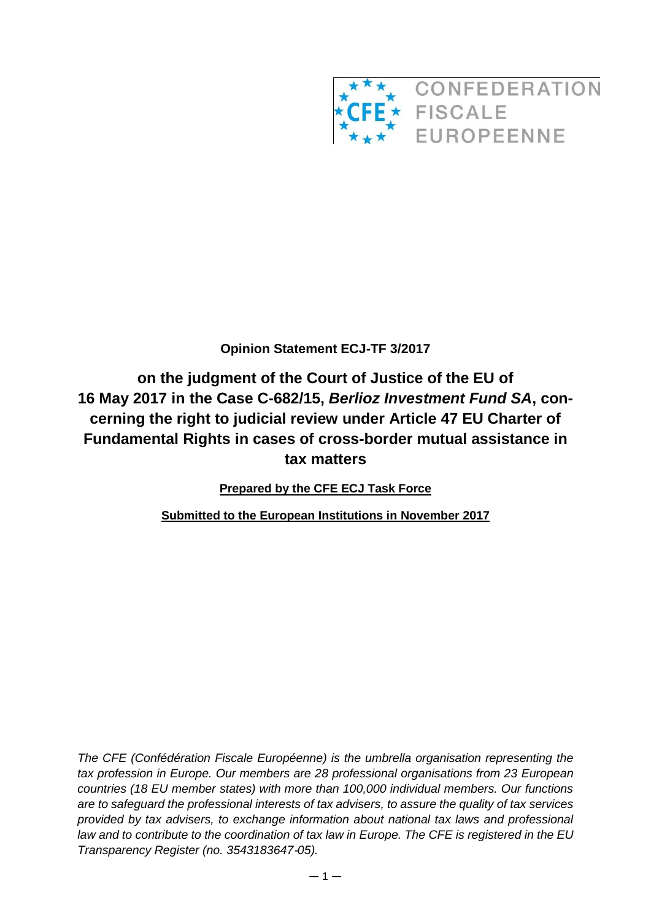

# **Opinion Statement ECJ-TF 3/2017**

**on the judgment of the Court of Justice of the EU of 16 May 2017 in the Case C-682/15,** *Berlioz Investment Fund SA***, concerning the right to judicial review under Article 47 EU Charter of Fundamental Rights in cases of cross-border mutual assistance in tax matters**

**Prepared by the CFE ECJ Task Force**

**Submitted to the European Institutions in November 2017**

*The CFE (Confédération Fiscale Européenne) is the umbrella organisation representing the tax profession in Europe. Our members are 28 professional organisations from 23 European countries (18 EU member states) with more than 100,000 individual members. Our functions are to safeguard the professional interests of tax advisers, to assure the quality of tax services provided by tax advisers, to exchange information about national tax laws and professional law and to contribute to the coordination of tax law in Europe. The CFE is registered in the EU Transparency Register (no. 3543183647*‐*05).*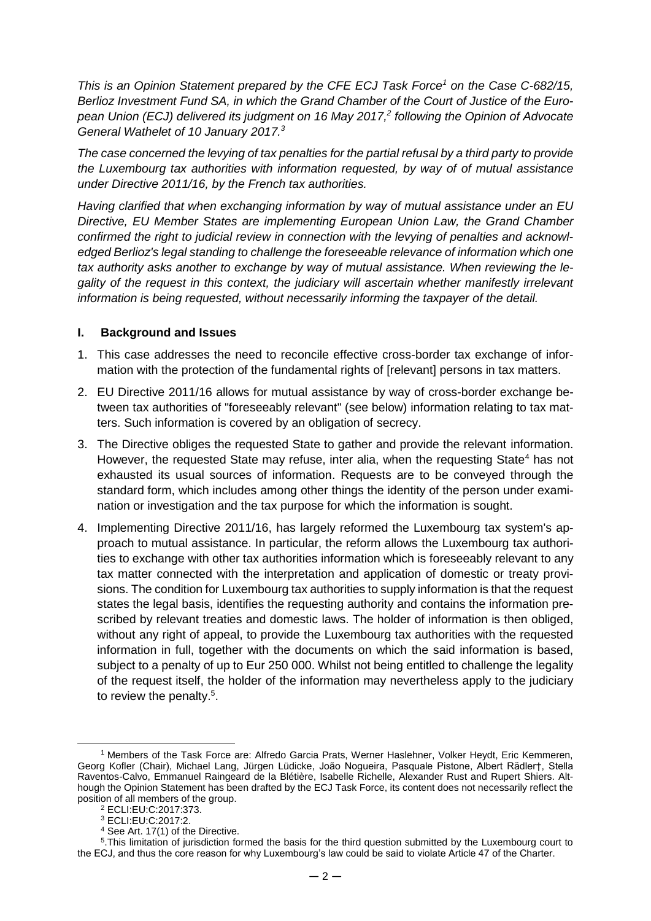*This is an Opinion Statement prepared by the CFE ECJ Task Force<sup>1</sup> on the Case C-682/15, Berlioz Investment Fund SA, in which the Grand Chamber of the Court of Justice of the European Union (ECJ) delivered its judgment on 16 May 2017, 2 following the Opinion of Advocate General Wathelet of 10 January 2017. 3*

*The case concerned the levying of tax penalties for the partial refusal by a third party to provide the Luxembourg tax authorities with information requested, by way of of mutual assistance under Directive 2011/16, by the French tax authorities.*

*Having clarified that when exchanging information by way of mutual assistance under an EU Directive, EU Member States are implementing European Union Law, the Grand Chamber confirmed the right to judicial review in connection with the levying of penalties and acknowledged Berlioz's legal standing to challenge the foreseeable relevance of information which one tax authority asks another to exchange by way of mutual assistance. When reviewing the legality of the request in this context, the judiciary will ascertain whether manifestly irrelevant information is being requested, without necessarily informing the taxpayer of the detail.*

## **I. Background and Issues**

- 1. This case addresses the need to reconcile effective cross-border tax exchange of information with the protection of the fundamental rights of [relevant] persons in tax matters.
- 2. EU Directive 2011/16 allows for mutual assistance by way of cross-border exchange between tax authorities of "foreseeably relevant" (see below) information relating to tax matters. Such information is covered by an obligation of secrecy.
- 3. The Directive obliges the requested State to gather and provide the relevant information. However, the requested State may refuse, inter alia, when the requesting State<sup>4</sup> has not exhausted its usual sources of information. Requests are to be conveyed through the standard form, which includes among other things the identity of the person under examination or investigation and the tax purpose for which the information is sought.
- 4. Implementing Directive 2011/16, has largely reformed the Luxembourg tax system's approach to mutual assistance. In particular, the reform allows the Luxembourg tax authorities to exchange with other tax authorities information which is foreseeably relevant to any tax matter connected with the interpretation and application of domestic or treaty provisions. The condition for Luxembourg tax authorities to supply information is that the request states the legal basis, identifies the requesting authority and contains the information prescribed by relevant treaties and domestic laws. The holder of information is then obliged, without any right of appeal, to provide the Luxembourg tax authorities with the requested information in full, together with the documents on which the said information is based, subject to a penalty of up to Eur 250 000. Whilst not being entitled to challenge the legality of the request itself, the holder of the information may nevertheless apply to the judiciary to review the penalty.<sup>5</sup>.

 $\overline{\phantom{a}}$ <sup>1</sup> Members of the Task Force are: Alfredo Garcia Prats, Werner Haslehner, Volker Heydt, Eric Kemmeren, Georg Kofler (Chair), Michael Lang, Jürgen Lüdicke, João Nogueira, Pasquale Pistone, Albert Rädler†, Stella Raventos-Calvo, Emmanuel Raingeard de la Blétière, Isabelle Richelle, Alexander Rust and Rupert Shiers. Although the Opinion Statement has been drafted by the ECJ Task Force, its content does not necessarily reflect the position of all members of the group.

<sup>2</sup> ECLI:EU:C:2017:373.

<sup>3</sup> ECLI:EU:C:2017:2.

<sup>4</sup> See Art. 17(1) of the Directive.

<sup>&</sup>lt;sup>5</sup>. This limitation of jurisdiction formed the basis for the third question submitted by the Luxembourg court to the ECJ, and thus the core reason for why Luxembourg's law could be said to violate Article 47 of the Charter.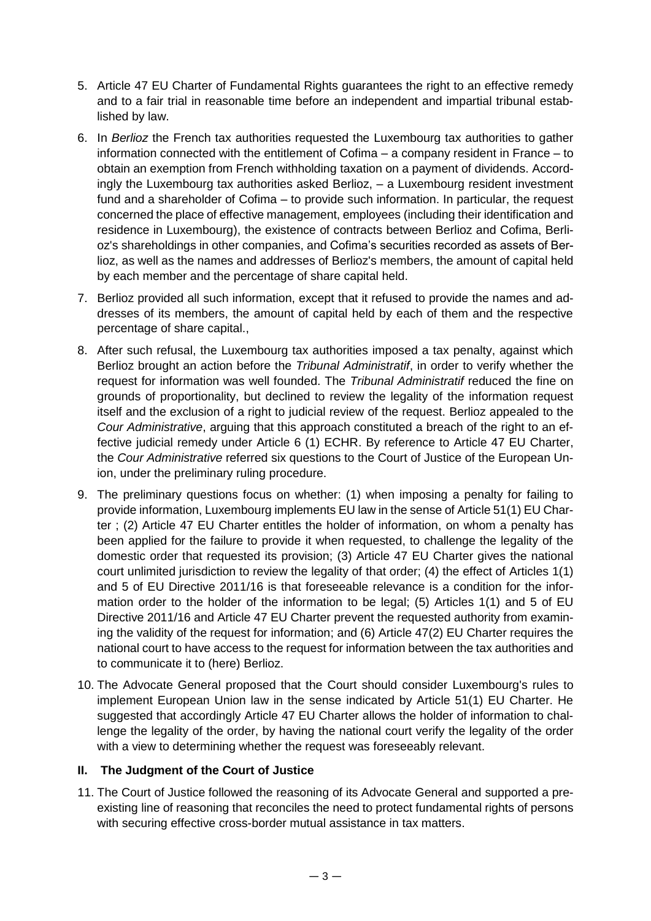- 5. Article 47 EU Charter of Fundamental Rights guarantees the right to an effective remedy and to a fair trial in reasonable time before an independent and impartial tribunal established by law.
- 6. In *Berlioz* the French tax authorities requested the Luxembourg tax authorities to gather information connected with the entitlement of Cofima – a company resident in France – to obtain an exemption from French withholding taxation on a payment of dividends. Accordingly the Luxembourg tax authorities asked Berlioz, – a Luxembourg resident investment fund and a shareholder of Cofima – to provide such information. In particular, the request concerned the place of effective management, employees (including their identification and residence in Luxembourg), the existence of contracts between Berlioz and Cofima, Berlioz's shareholdings in other companies, and Cofima's securities recorded as assets of Berlioz, as well as the names and addresses of Berlioz's members, the amount of capital held by each member and the percentage of share capital held.
- 7. Berlioz provided all such information, except that it refused to provide the names and addresses of its members, the amount of capital held by each of them and the respective percentage of share capital.,
- 8. After such refusal, the Luxembourg tax authorities imposed a tax penalty, against which Berlioz brought an action before the *Tribunal Administratif*, in order to verify whether the request for information was well founded. The *Tribunal Administratif* reduced the fine on grounds of proportionality, but declined to review the legality of the information request itself and the exclusion of a right to judicial review of the request. Berlioz appealed to the *Cour Administrative*, arguing that this approach constituted a breach of the right to an effective judicial remedy under Article 6 (1) ECHR. By reference to Article 47 EU Charter, the *Cour Administrative* referred six questions to the Court of Justice of the European Union, under the preliminary ruling procedure.
- 9. The preliminary questions focus on whether: (1) when imposing a penalty for failing to provide information, Luxembourg implements EU law in the sense of Article 51(1) EU Charter ; (2) Article 47 EU Charter entitles the holder of information, on whom a penalty has been applied for the failure to provide it when requested, to challenge the legality of the domestic order that requested its provision; (3) Article 47 EU Charter gives the national court unlimited jurisdiction to review the legality of that order; (4) the effect of Articles 1(1) and 5 of EU Directive 2011/16 is that foreseeable relevance is a condition for the information order to the holder of the information to be legal; (5) Articles 1(1) and 5 of EU Directive 2011/16 and Article 47 EU Charter prevent the requested authority from examining the validity of the request for information; and (6) Article 47(2) EU Charter requires the national court to have access to the request for information between the tax authorities and to communicate it to (here) Berlioz.
- 10. The Advocate General proposed that the Court should consider Luxembourg's rules to implement European Union law in the sense indicated by Article 51(1) EU Charter. He suggested that accordingly Article 47 EU Charter allows the holder of information to challenge the legality of the order, by having the national court verify the legality of the order with a view to determining whether the request was foreseeably relevant.

## **II. The Judgment of the Court of Justice**

11. The Court of Justice followed the reasoning of its Advocate General and supported a preexisting line of reasoning that reconciles the need to protect fundamental rights of persons with securing effective cross-border mutual assistance in tax matters.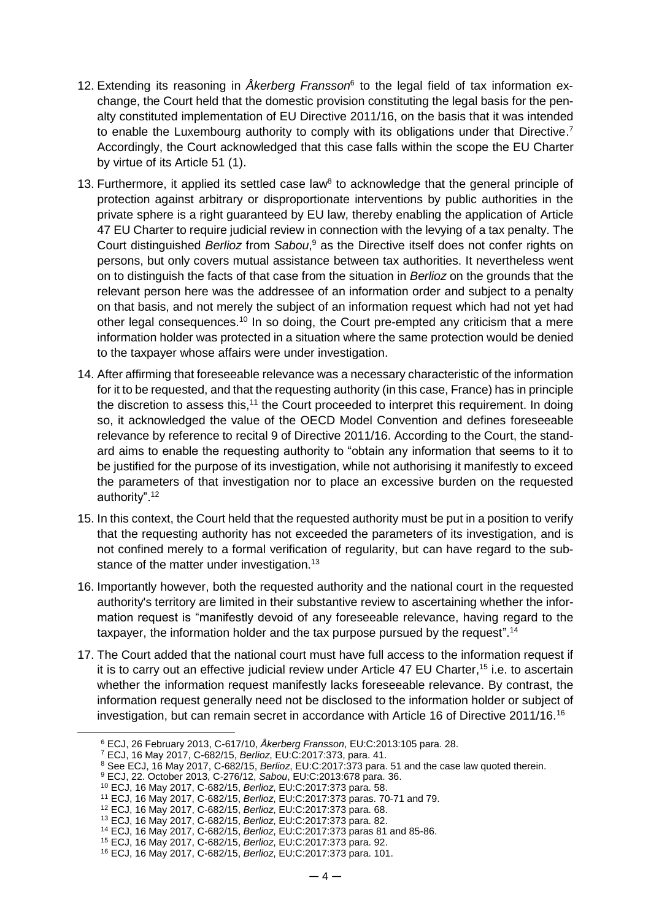- 12. Extending its reasoning in *Åkerberg Fransson*<sup>6</sup> to the legal field of tax information exchange, the Court held that the domestic provision constituting the legal basis for the penalty constituted implementation of EU Directive 2011/16, on the basis that it was intended to enable the Luxembourg authority to comply with its obligations under that Directive.<sup>7</sup> Accordingly, the Court acknowledged that this case falls within the scope the EU Charter by virtue of its Article 51 (1).
- 13. Furthermore, it applied its settled case law<sup>8</sup> to acknowledge that the general principle of protection against arbitrary or disproportionate interventions by public authorities in the private sphere is a right guaranteed by EU law, thereby enabling the application of Article 47 EU Charter to require judicial review in connection with the levying of a tax penalty. The Court distinguished *Berlioz* from *Sabou*, <sup>9</sup> as the Directive itself does not confer rights on persons, but only covers mutual assistance between tax authorities. It nevertheless went on to distinguish the facts of that case from the situation in *Berlioz* on the grounds that the relevant person here was the addressee of an information order and subject to a penalty on that basis, and not merely the subject of an information request which had not yet had other legal consequences.<sup>10</sup> In so doing, the Court pre-empted any criticism that a mere information holder was protected in a situation where the same protection would be denied to the taxpayer whose affairs were under investigation.
- 14. After affirming that foreseeable relevance was a necessary characteristic of the information for it to be requested, and that the requesting authority (in this case, France) has in principle the discretion to assess this,<sup>11</sup> the Court proceeded to interpret this requirement. In doing so, it acknowledged the value of the OECD Model Convention and defines foreseeable relevance by reference to recital 9 of Directive 2011/16. According to the Court, the standard aims to enable the requesting authority to "obtain any information that seems to it to be justified for the purpose of its investigation, while not authorising it manifestly to exceed the parameters of that investigation nor to place an excessive burden on the requested authority".<sup>12</sup>
- 15. In this context, the Court held that the requested authority must be put in a position to verify that the requesting authority has not exceeded the parameters of its investigation, and is not confined merely to a formal verification of regularity, but can have regard to the substance of the matter under investigation.<sup>13</sup>
- 16. Importantly however, both the requested authority and the national court in the requested authority's territory are limited in their substantive review to ascertaining whether the information request is "manifestly devoid of any foreseeable relevance, having regard to the taxpayer, the information holder and the tax purpose pursued by the request".<sup>14</sup>
- 17. The Court added that the national court must have full access to the information request if it is to carry out an effective judicial review under Article 47 EU Charter,<sup>15</sup> i.e. to ascertain whether the information request manifestly lacks foreseeable relevance. By contrast, the information request generally need not be disclosed to the information holder or subject of investigation, but can remain secret in accordance with Article 16 of Directive 2011/16.<sup>16</sup>

 $\overline{a}$ 

<sup>6</sup> ECJ, 26 February 2013, C-617/10, *Åkerberg Fransson*, EU:C:2013:105 para. 28.

<sup>7</sup> ECJ, 16 May 2017, C-682/15, *Berlioz*, EU:C:2017:373, para. 41.

<sup>8</sup> See ECJ, 16 May 2017, C-682/15, *Berlioz*, EU:C:2017:373 para. 51 and the case law quoted therein.

<sup>9</sup> ECJ, 22. October 2013, C-276/12, *Sabou*, EU:C:2013:678 para. 36.

<sup>10</sup> ECJ, 16 May 2017, C-682/15, *Berlioz*, EU:C:2017:373 para. 58.

<sup>11</sup> ECJ, 16 May 2017, C-682/15, *Berlioz*, EU:C:2017:373 paras. 70-71 and 79.

<sup>12</sup> ECJ, 16 May 2017, C-682/15, *Berlioz*, EU:C:2017:373 para. 68.

<sup>13</sup> ECJ, 16 May 2017, C-682/15, *Berlioz*, EU:C:2017:373 para. 82.

<sup>14</sup> ECJ, 16 May 2017, C-682/15, *Berlioz*, EU:C:2017:373 paras 81 and 85-86.

<sup>15</sup> ECJ, 16 May 2017, C-682/15, *Berlioz*, EU:C:2017:373 para. 92.

<sup>16</sup> ECJ, 16 May 2017, C-682/15, *Berlioz*, EU:C:2017:373 para. 101.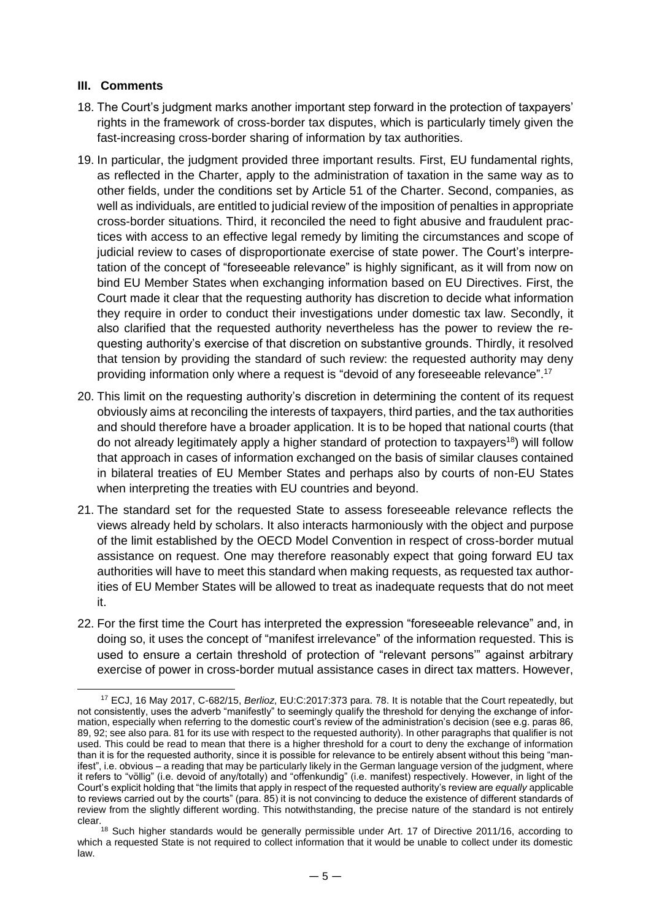## **III. Comments**

 $\overline{a}$ 

- 18. The Court's judgment marks another important step forward in the protection of taxpayers' rights in the framework of cross-border tax disputes, which is particularly timely given the fast-increasing cross-border sharing of information by tax authorities.
- 19. In particular, the judgment provided three important results. First, EU fundamental rights, as reflected in the Charter, apply to the administration of taxation in the same way as to other fields, under the conditions set by Article 51 of the Charter. Second, companies, as well as individuals, are entitled to judicial review of the imposition of penalties in appropriate cross-border situations. Third, it reconciled the need to fight abusive and fraudulent practices with access to an effective legal remedy by limiting the circumstances and scope of judicial review to cases of disproportionate exercise of state power. The Court's interpretation of the concept of "foreseeable relevance" is highly significant, as it will from now on bind EU Member States when exchanging information based on EU Directives. First, the Court made it clear that the requesting authority has discretion to decide what information they require in order to conduct their investigations under domestic tax law. Secondly, it also clarified that the requested authority nevertheless has the power to review the requesting authority's exercise of that discretion on substantive grounds. Thirdly, it resolved that tension by providing the standard of such review: the requested authority may deny providing information only where a request is "devoid of any foreseeable relevance".<sup>17</sup>
- 20. This limit on the requesting authority's discretion in determining the content of its request obviously aims at reconciling the interests of taxpayers, third parties, and the tax authorities and should therefore have a broader application. It is to be hoped that national courts (that do not already legitimately apply a higher standard of protection to taxpayers<sup>18</sup>) will follow that approach in cases of information exchanged on the basis of similar clauses contained in bilateral treaties of EU Member States and perhaps also by courts of non-EU States when interpreting the treaties with EU countries and beyond.
- 21. The standard set for the requested State to assess foreseeable relevance reflects the views already held by scholars. It also interacts harmoniously with the object and purpose of the limit established by the OECD Model Convention in respect of cross-border mutual assistance on request. One may therefore reasonably expect that going forward EU tax authorities will have to meet this standard when making requests, as requested tax authorities of EU Member States will be allowed to treat as inadequate requests that do not meet it.
- 22. For the first time the Court has interpreted the expression "foreseeable relevance" and, in doing so, it uses the concept of "manifest irrelevance" of the information requested. This is used to ensure a certain threshold of protection of "relevant persons'" against arbitrary exercise of power in cross-border mutual assistance cases in direct tax matters. However,

<sup>17</sup> ECJ, 16 May 2017, C-682/15, *Berlioz*, EU:C:2017:373 para. 78. It is notable that the Court repeatedly, but not consistently, uses the adverb "manifestly" to seemingly qualify the threshold for denying the exchange of information, especially when referring to the domestic court's review of the administration's decision (see e.g. paras 86, 89, 92; see also para. 81 for its use with respect to the requested authority). In other paragraphs that qualifier is not used. This could be read to mean that there is a higher threshold for a court to deny the exchange of information than it is for the requested authority, since it is possible for relevance to be entirely absent without this being "manifest", i.e. obvious – a reading that may be particularly likely in the German language version of the judgment, where it refers to "völlig" (i.e. devoid of any/totally) and "offenkundig" (i.e. manifest) respectively. However, in light of the Court's explicit holding that "the limits that apply in respect of the requested authority's review are *equally* applicable to reviews carried out by the courts" (para. 85) it is not convincing to deduce the existence of different standards of review from the slightly different wording. This notwithstanding, the precise nature of the standard is not entirely clear.

<sup>&</sup>lt;sup>18</sup> Such higher standards would be generally permissible under Art. 17 of Directive 2011/16, according to which a requested State is not required to collect information that it would be unable to collect under its domestic law.